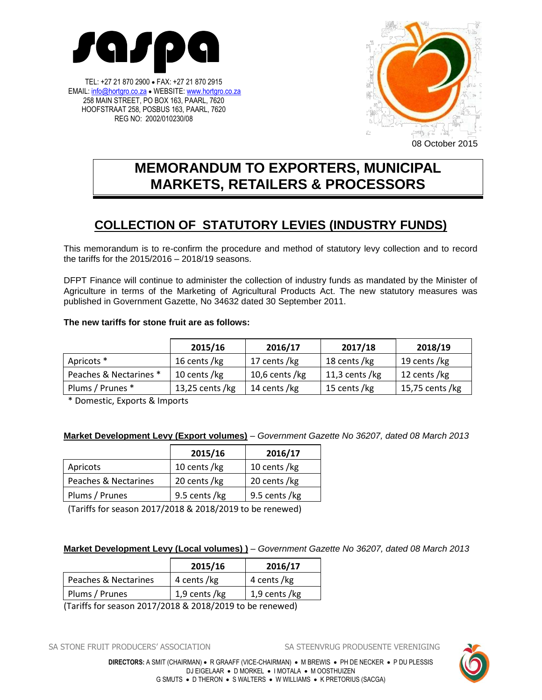

TEL: +27 21 870 2900 FAX: +27 21 870 2915 EMAIL[: info@hortgro.co.za](mailto:info@hortgro.co.za) • WEBSITE[: www.hortgro.co.za](http://www.hortgro.co.za/) 258 MAIN STREET, PO BOX 163, PAARL, 7620 HOOFSTRAAT 258, POSBUS 163, PAARL, 7620 REG NO: 2002/010230/08



08 October 2015

# **MEMORANDUM TO EXPORTERS, MUNICIPAL MARKETS, RETAILERS & PROCESSORS**

## **COLLECTION OF STATUTORY LEVIES (INDUSTRY FUNDS)**

This memorandum is to re-confirm the procedure and method of statutory levy collection and to record the tariffs for the 2015/2016 – 2018/19 seasons.

DFPT Finance will continue to administer the collection of industry funds as mandated by the Minister of Agriculture in terms of the Marketing of Agricultural Products Act. The new statutory measures was published in Government Gazette, No 34632 dated 30 September 2011.

### **The new tariffs for stone fruit are as follows:**

|                        | 2015/16            | 2016/17           | 2017/18           | 2018/19         |
|------------------------|--------------------|-------------------|-------------------|-----------------|
| Apricots *             | 16 cents /kg       | 17 cents /kg      | 18 cents /kg      | 19 cents /kg    |
| Peaches & Nectarines * | 10 cents /kg       | 10,6 cents / $kg$ | 11,3 cents / $kg$ | 12 cents /kg    |
| Plums / Prunes *       | 13,25 cents / $kg$ | 14 cents /kg      | 15 cents /kg      | 15,75 cents /kg |

\* Domestic, Exports & Imports

## **Market Development Levy (Export volumes)** *– Government Gazette No 36207, dated 08 March 2013*

|                      | 2015/16       | 2016/17       |
|----------------------|---------------|---------------|
| Apricots             | 10 cents /kg  | 10 cents /kg  |
| Peaches & Nectarines | 20 cents /kg  | 20 cents /kg  |
| Plums / Prunes       | 9.5 cents /kg | 9.5 cents /kg |

(Tariffs for season 2017/2018 & 2018/2019 to be renewed)

#### **Market Development Levy (Local volumes) )** *– Government Gazette No 36207, dated 08 March 2013*

|                      | 2015/16       | 2016/17       |
|----------------------|---------------|---------------|
| Peaches & Nectarines | 4 cents /kg   | 4 cents /kg   |
| Plums / Prunes       | 1,9 cents /kg | 1,9 cents /kg |

(Tariffs for season 2017/2018 & 2018/2019 to be renewed)

SA STONE FRUIT PRODUCERS' ASSOCIATION SA STEENVRUG PRODUSENTE VERENIGING